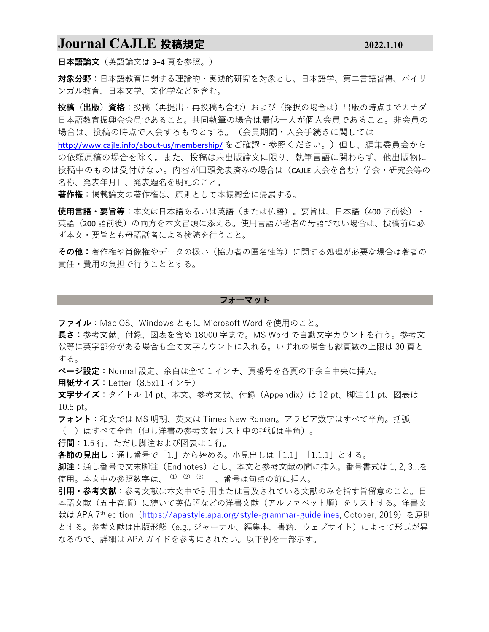## **Journal CAJLE** 投稿規定 **2022.1.10**

**日本語論文**(英語論文は 3−4 頁を参照。)

**対象分野**:⽇本語教育に関する理論的・実践的研究を対象とし、⽇本語学、第⼆⾔語習得、バイリ ンガル教育、⽇本⽂学、⽂化学などを含む。

**投稿(出版)資格**:投稿(再提出・再投稿も含む)および(採択の場合は)出版の時点までカナダ 日本語教育振興会会員であること。共同執筆の場合は最低一人が個人会員であること。非会員の 場合は、投稿の時点で⼊会するものとする。(会員期間・⼊会⼿続きに関しては

http://www.cajle.info/about-us/membership/ をご確認・参照ください。)但し、編集委員会から の依頼原稿の場合を除く。また、投稿は未出版論文に限り、執筆言語に関わらず、他出版物に 投稿中のものは受付けない。内容が口頭発表済みの場合は(CAJLE 大会を含む)学会・研究会等の 名称、発表年月日、発表題名を明記のこと。

**著作権**:掲載論⽂の著作権は、原則として本振興会に帰属する。

**使用言語・要旨等**:本文は日本語あるいは英語(または仏語)。要旨は、日本語(400 字前後)・ 英語(200語前後)の両方を本文冒頭に添える。使用言語が著者の母語でない場合は、投稿前に必 ず本⽂・要旨とも⺟語話者による検読を⾏うこと。

**その他:**著作権や肖像権やデータの扱い(協⼒者の匿名性等)に関する処理が必要な場合は著者の 責任・費⽤の負担で⾏うこととする。

#### フォーマット

**ファイル**: Mac OS、Windows ともに Microsoft Word を使用のこと。

**⻑さ**:参考⽂献、付録、図表を含め 18000 字まで。MS Word で⾃動⽂字カウントを⾏う。参考⽂ 献等に英字部分がある場合も全て文字カウントに入れる。いずれの場合も総頁数の上限は 30 頁と する。

**ページ設定**:Normal 設定、余⽩は全て 1 インチ、⾴番号を各⾴の下余⽩中央に挿⼊。

**用紙サイズ**:Letter (8.5x11 インチ)

**⽂字サイズ**:タイトル 14 pt、本⽂、参考⽂献、付録(Appendix)は 12 pt、脚注 11 pt、図表は  $10.5$  pt.

**フォント**:和⽂では MS 明朝、英⽂は Times New Roman。アラビア数字はすべて半⾓。括弧 ( )はすべて全⾓(但し洋書の参考⽂献リスト中の括弧は半⾓)。

**⾏間**:1.5 ⾏、ただし脚注および図表は 1 ⾏。

**各節の見出し**:通し番号で「1.」から始める。小見出しは「1.1」「1.1.1」とする。

**脚注**:通し番号で⽂末脚注(Endnotes)とし、本⽂と参考⽂献の間に挿⼊。番号書式は 1, 2, 3...を 使用。本文中の参照数字は、(1)(2)(3)、番号は句点の前に挿入。

**引用・参考文献**:参考文献は本文中で引用または言及されている文献のみを指す旨留意のこと。日 本語文献(五十音順)に続いて英仏語などの洋書文献(アルファベット順)をリストする。洋書文 献は APA 7<sup>th</sup> edition (https://apastyle.apa.org/style-grammar-guidelines, October, 2019) を原則 とする。参考文献は出版形態 (e.g., ジャーナル、編集本、書籍、ウェブサイト) によって形式が異 なるので、詳細は APA ガイドを参考にされたい。以下例を一部示す。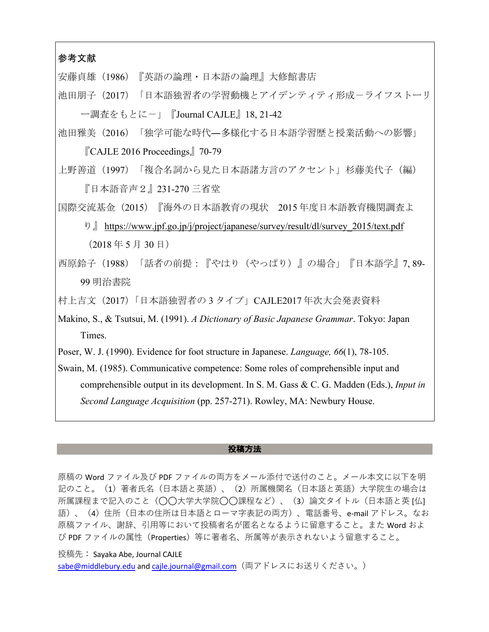## 参考文献

安藤貞雄(1986)『英語の論理・日本語の論理』大修館書店

池田朋子(2017)「日本語独習者の学習動機とアイデンティティ形成ーライフストーリ ー調査をもとに-」『Journal CAJLE』18, 21-42

池田雅美(2016)「独学可能な時代―多様化する日本語学習歴と授業活動への影響」 『CAJLE 2016 Proceedings』70-79

上野善道(1997)「複合名詞から見た日本語諸方言のアクセント」杉藤美代子(編) 『日本語音声2』231-270 三省堂

国際交流基金(2015)『海外の日本語教育の現状 2015 年度日本語教育機関調査よ

- り』 https://www.jpf.go.jp/j/project/japanese/survey/result/dl/survey\_2015/text.pdf  $(2018 \n *45* 5 1 30 1)$
- 西原鈴子(1988)「話者の前提:『やはり(やっぱり)』の場合」『日本語学』7, 89- 99 明治書院

村上吉文(2017)「日本語独習者の 3 タイプ」CAJLE2017 年次大会発表資料

Makino, S., & Tsutsui, M. (1991). *A Dictionary of Basic Japanese Grammar*. Tokyo: Japan Times.

Poser, W. J. (1990). Evidence for foot structure in Japanese. *Language, 66*(1), 78-105.

Swain, M. (1985). Communicative competence: Some roles of comprehensible input and comprehensible output in its development. In S. M. Gass & C. G. Madden (Eds.), *Input in Second Language Acquisition* (pp. 257-271). Rowley, MA: Newbury House.

### 投稿方法

原稿の Word ファイル及び PDF ファイルの両方をメール添付で送付のこと。メール本文に以下を明 記のこと。(1)著者氏名(日本語と英語)、(2)所属機関名(日本語と英語)大学院生の場合は 所属課程まで記⼊のこと(◯◯⼤学⼤学院◯◯課程など)、(3)論⽂タイトル(⽇本語と英 [仏] 語)、(4)住所(日本の住所は日本語とローマ字表記の両方)、電話番号、e-mail アドレス。なお 原稿ファイル、謝辞、引用等において投稿者名が匿名となるように留意すること。また Word およ び PDF ファイルの属性(Properties)等に著者名、所属等が表⽰されないよう留意すること。

投稿先: Sayaka Abe, Journal CAJLE

sabe@middlebury.edu and cajle.journal@gmail.com (両アドレスにお送りください。)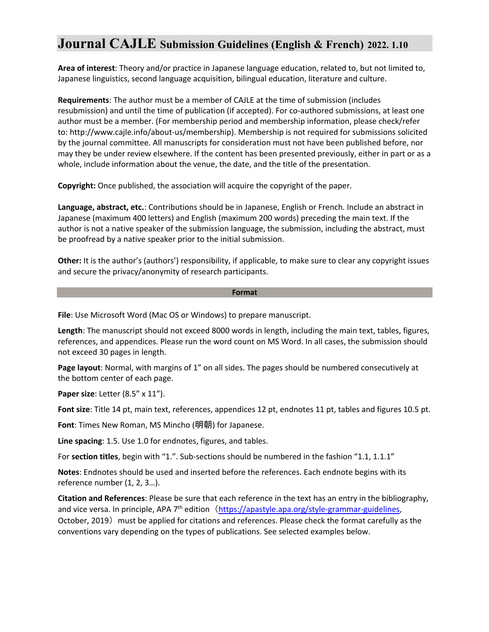# **Journal CAJLE Submission Guidelines (English & French) 2022. 1.10**

**Area of interest**: Theory and/or practice in Japanese language education, related to, but not limited to, Japanese linguistics, second language acquisition, bilingual education, literature and culture.

**Requirements**: The author must be a member of CAJLE at the time of submission (includes resubmission) and until the time of publication (if accepted). For co-authored submissions, at least one author must be a member. (For membership period and membership information, please check/refer to: http://www.cajle.info/about-us/membership). Membership is not required for submissions solicited by the journal committee. All manuscripts for consideration must not have been published before, nor may they be under review elsewhere. If the content has been presented previously, either in part or as a whole, include information about the venue, the date, and the title of the presentation.

**Copyright:** Once published, the association will acquire the copyright of the paper.

**Language, abstract, etc.**: Contributions should be in Japanese, English or French. Include an abstract in Japanese (maximum 400 letters) and English (maximum 200 words) preceding the main text. If the author is not a native speaker of the submission language, the submission, including the abstract, must be proofread by a native speaker prior to the initial submission.

**Other:** It is the author's (authors') responsibility, if applicable, to make sure to clear any copyright issues and secure the privacy/anonymity of research participants.

### **Format**

**File**: Use Microsoft Word (Mac OS or Windows) to prepare manuscript.

**Length**: The manuscript should not exceed 8000 words in length, including the main text, tables, figures, references, and appendices. Please run the word count on MS Word. In all cases, the submission should not exceed 30 pages in length.

**Page layout**: Normal, with margins of 1" on all sides. The pages should be numbered consecutively at the bottom center of each page.

**Paper size**: Letter (8.5" x 11").

**Font size**: Title 14 pt, main text, references, appendices 12 pt, endnotes 11 pt, tables and figures 10.5 pt.

**Font**: Times New Roman, MS Mincho (明朝) for Japanese.

**Line spacing**: 1.5. Use 1.0 for endnotes, figures, and tables.

For **section titles**, begin with "1.". Sub-sections should be numbered in the fashion "1.1, 1.1.1"

**Notes**: Endnotes should be used and inserted before the references. Each endnote begins with its reference number (1, 2, 3…).

**Citation and References**: Please be sure that each reference in the text has an entry in the bibliography, and vice versa. In principle, APA 7<sup>th</sup> edition (https://apastyle.apa.org/style-grammar-guidelines, October, 2019) must be applied for citations and references. Please check the format carefully as the conventions vary depending on the types of publications. See selected examples below.